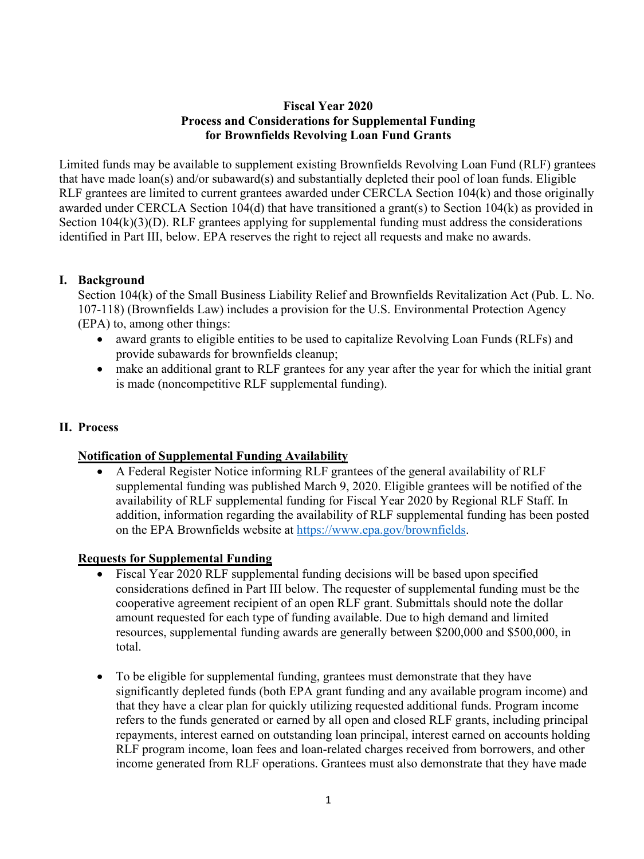# **Fiscal Year 2020 Process and Considerations for Supplemental Funding for Brownfields Revolving Loan Fund Grants**

Limited funds may be available to supplement existing Brownfields Revolving Loan Fund (RLF) grantees that have made loan(s) and/or subaward(s) and substantially depleted their pool of loan funds. Eligible RLF grantees are limited to current grantees awarded under CERCLA Section 104(k) and those originally awarded under CERCLA Section 104(d) that have transitioned a grant(s) to Section 104(k) as provided in Section 104(k)(3)(D). RLF grantees applying for supplemental funding must address the considerations identified in Part III, below. EPA reserves the right to reject all requests and make no awards.

## **I. Background**

Section 104(k) of the Small Business Liability Relief and Brownfields Revitalization Act (Pub. L. No. 107-118) (Brownfields Law) includes a provision for the U.S. Environmental Protection Agency (EPA) to, among other things:

- award grants to eligible entities to be used to capitalize Revolving Loan Funds (RLFs) and provide subawards for brownfields cleanup;
- make an additional grant to RLF grantees for any year after the year for which the initial grant is made (noncompetitive RLF supplemental funding).

# **II. Process**

## **Notification of Supplemental Funding Availability**

• A Federal Register Notice informing RLF grantees of the general availability of RLF supplemental funding was published March 9, 2020. Eligible grantees will be notified of the availability of RLF supplemental funding for Fiscal Year 2020 by Regional RLF Staff. In addition, information regarding the availability of RLF supplemental funding has been posted on the EPA Brownfields website at [https://www.epa.gov/brownfields.](https://www.epa.gov/brownfields)

## **Requests for Supplemental Funding**

- Fiscal Year 2020 RLF supplemental funding decisions will be based upon specified considerations defined in Part III below. The requester of supplemental funding must be the cooperative agreement recipient of an open RLF grant. Submittals should note the dollar amount requested for each type of funding available. Due to high demand and limited resources, supplemental funding awards are generally between \$200,000 and \$500,000, in total.
- To be eligible for supplemental funding, grantees must demonstrate that they have significantly depleted funds (both EPA grant funding and any available program income) and that they have a clear plan for quickly utilizing requested additional funds. Program income refers to the funds generated or earned by all open and closed RLF grants, including principal repayments, interest earned on outstanding loan principal, interest earned on accounts holding RLF program income, loan fees and loan-related charges received from borrowers, and other income generated from RLF operations. Grantees must also demonstrate that they have made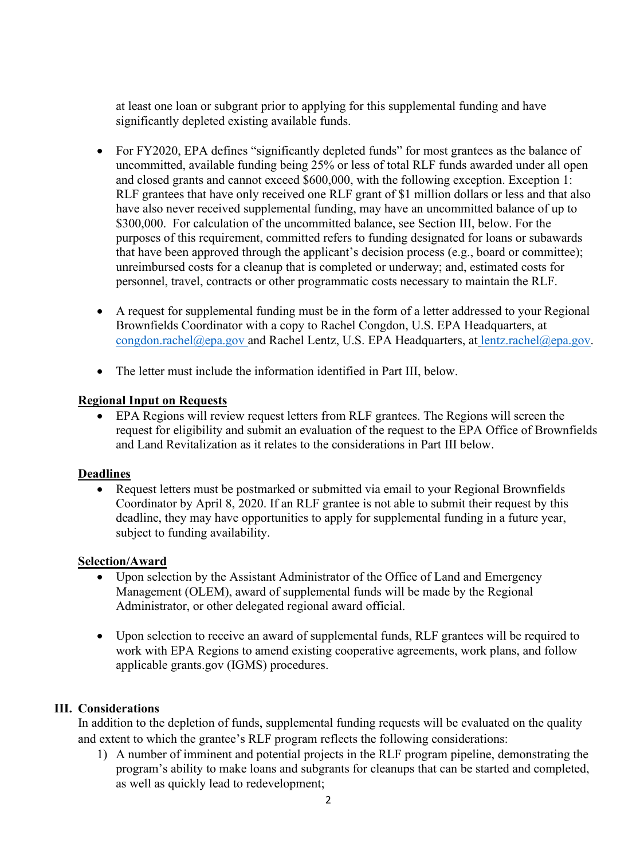at least one loan or subgrant prior to applying for this supplemental funding and have significantly depleted existing available funds.

- For FY2020, EPA defines "significantly depleted funds" for most grantees as the balance of uncommitted, available funding being 25% or less of total RLF funds awarded under all open and closed grants and cannot exceed \$600,000, with the following exception. Exception 1: RLF grantees that have only received one RLF grant of \$1 million dollars or less and that also have also never received supplemental funding, may have an uncommitted balance of up to \$300,000. For calculation of the uncommitted balance, see Section III, below. For the purposes of this requirement, committed refers to funding designated for loans or subawards that have been approved through the applicant's decision process (e.g., board or committee); unreimbursed costs for a cleanup that is completed or underway; and, estimated costs for personnel, travel, contracts or other programmatic costs necessary to maintain the RLF.
- A request for supplemental funding must be in the form of a letter addressed to your Regional Brownfields Coordinator with a copy to Rachel Congdon, U.S. EPA Headquarters, at [congdon.rachel@epa.gov](mailto:congdon.rachel@epa.gov) and Rachel Lentz, U.S. EPA Headquarters, at lentz.rachel@epa.gov.
- The letter must include the information identified in Part III, below.

#### **Regional Input on Requests**

• EPA Regions will review request letters from RLF grantees. The Regions will screen the request for eligibility and submit an evaluation of the request to the EPA Office of Brownfields and Land Revitalization as it relates to the considerations in Part III below.

#### **Deadlines**

• Request letters must be postmarked or submitted via email to your Regional Brownfields Coordinator by April 8, 2020. If an RLF grantee is not able to submit their request by this deadline, they may have opportunities to apply for supplemental funding in a future year, subject to funding availability.

#### **Selection/Award**

- Upon selection by the Assistant Administrator of the Office of Land and Emergency Management (OLEM), award of supplemental funds will be made by the Regional Administrator, or other delegated regional award official.
- Upon selection to receive an award of supplemental funds, RLF grantees will be required to work with EPA Regions to amend existing cooperative agreements, work plans, and follow applicable grants.gov (IGMS) procedures.

## **III. Considerations**

In addition to the depletion of funds, supplemental funding requests will be evaluated on the quality and extent to which the grantee's RLF program reflects the following considerations:

1) A number of imminent and potential projects in the RLF program pipeline, demonstrating the program's ability to make loans and subgrants for cleanups that can be started and completed, as well as quickly lead to redevelopment;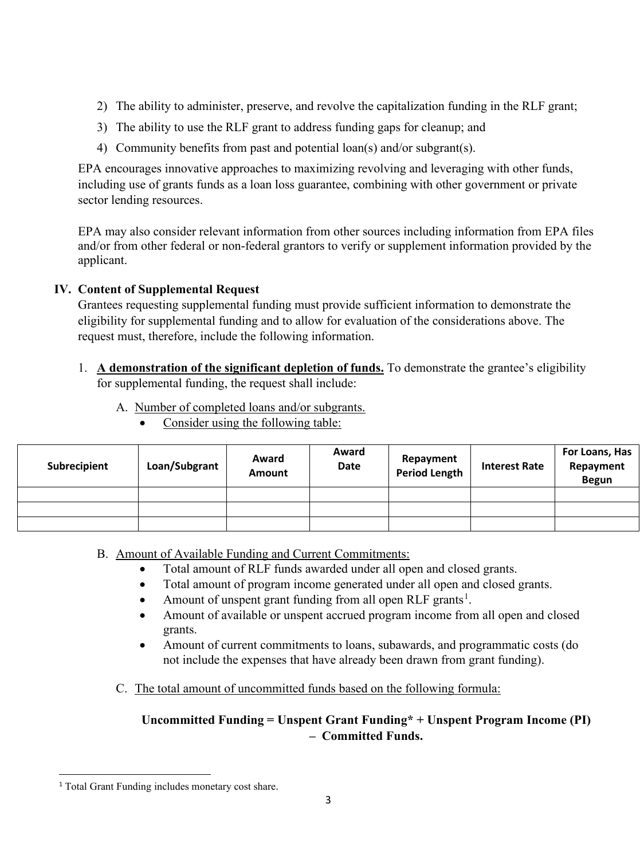- 2) The ability to administer, preserve, and revolve the capitalization funding in the RLF grant;
- 3) The ability to use the RLF grant to address funding gaps for cleanup; and
- 4) Community benefits from past and potential loan(s) and/or subgrant(s).

EPA encourages innovative approaches to maximizing revolving and leveraging with other funds, including use of grants funds as a loan loss guarantee, combining with other government or private sector lending resources.

EPA may also consider relevant information from other sources including information from EPA files and/or from other federal or non-federal grantors to verify or supplement information provided by the applicant.

# **IV. Content of Supplemental Request**

Grantees requesting supplemental funding must provide sufficient information to demonstrate the eligibility for supplemental funding and to allow for evaluation of the considerations above. The request must, therefore, include the following information.

- 1. **A demonstration of the significant depletion of funds.** To demonstrate the grantee's eligibility for supplemental funding, the request shall include:
	- A. Number of completed loans and/or subgrants.
		- Consider using the following table:

| Subrecipient | Loan/Subgrant | Award<br><b>Amount</b> | Award<br>Date | Repayment<br><b>Period Length</b> | <b>Interest Rate</b> | For Loans, Has<br>Repayment<br><b>Begun</b> |
|--------------|---------------|------------------------|---------------|-----------------------------------|----------------------|---------------------------------------------|
|              |               |                        |               |                                   |                      |                                             |
|              |               |                        |               |                                   |                      |                                             |
|              |               |                        |               |                                   |                      |                                             |

- B. Amount of Available Funding and Current Commitments:
	- Total amount of RLF funds awarded under all open and closed grants.
	- Total amount of program income generated under all open and closed grants.
	- Amount of unspent grant funding from all open RLF grants<sup>[1](#page-2-0)</sup>.
	- Amount of available or unspent accrued program income from all open and closed grants.
	- Amount of current commitments to loans, subawards, and programmatic costs (do not include the expenses that have already been drawn from grant funding).
	- C. The total amount of uncommitted funds based on the following formula:

# **Uncommitted Funding = Unspent Grant Funding\* + Unspent Program Income (PI) – Committed Funds.**

<span id="page-2-0"></span><sup>&</sup>lt;sup>1</sup> Total Grant Funding includes monetary cost share.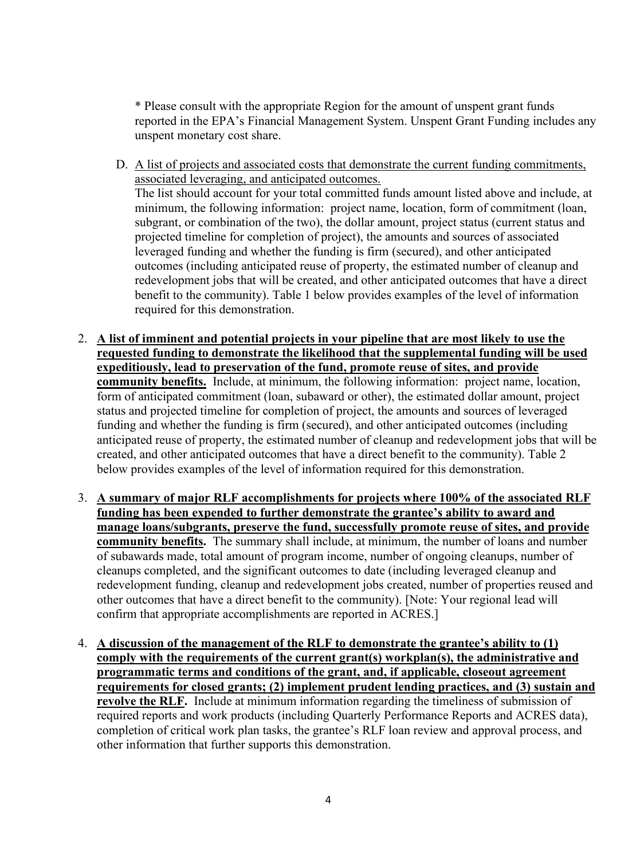\* Please consult with the appropriate Region for the amount of unspent grant funds reported in the EPA's Financial Management System. Unspent Grant Funding includes any unspent monetary cost share.

- D. A list of projects and associated costs that demonstrate the current funding commitments, associated leveraging, and anticipated outcomes. The list should account for your total committed funds amount listed above and include, at minimum, the following information: project name, location, form of commitment (loan, subgrant, or combination of the two), the dollar amount, project status (current status and projected timeline for completion of project), the amounts and sources of associated leveraged funding and whether the funding is firm (secured), and other anticipated outcomes (including anticipated reuse of property, the estimated number of cleanup and redevelopment jobs that will be created, and other anticipated outcomes that have a direct benefit to the community). Table 1 below provides examples of the level of information required for this demonstration.
- 2. **A list of imminent and potential projects in your pipeline that are most likely to use the requested funding to demonstrate the likelihood that the supplemental funding will be used expeditiously, lead to preservation of the fund, promote reuse of sites, and provide community benefits.** Include, at minimum, the following information: project name, location, form of anticipated commitment (loan, subaward or other), the estimated dollar amount, project status and projected timeline for completion of project, the amounts and sources of leveraged funding and whether the funding is firm (secured), and other anticipated outcomes (including anticipated reuse of property, the estimated number of cleanup and redevelopment jobs that will be created, and other anticipated outcomes that have a direct benefit to the community). Table 2 below provides examples of the level of information required for this demonstration.
- 3. **A summary of major RLF accomplishments for projects where 100% of the associated RLF funding has been expended to further demonstrate the grantee's ability to award and manage loans/subgrants, preserve the fund, successfully promote reuse of sites, and provide community benefits.** The summary shall include, at minimum, the number of loans and number of subawards made, total amount of program income, number of ongoing cleanups, number of cleanups completed, and the significant outcomes to date (including leveraged cleanup and redevelopment funding, cleanup and redevelopment jobs created, number of properties reused and other outcomes that have a direct benefit to the community). [Note: Your regional lead will confirm that appropriate accomplishments are reported in ACRES.]
- 4. **A discussion of the management of the RLF to demonstrate the grantee's ability to (1) comply with the requirements of the current grant(s) workplan(s), the administrative and programmatic terms and conditions of the grant, and, if applicable, closeout agreement requirements for closed grants; (2) implement prudent lending practices, and (3) sustain and revolve the RLF.** Include at minimum information regarding the timeliness of submission of required reports and work products (including Quarterly Performance Reports and ACRES data), completion of critical work plan tasks, the grantee's RLF loan review and approval process, and other information that further supports this demonstration.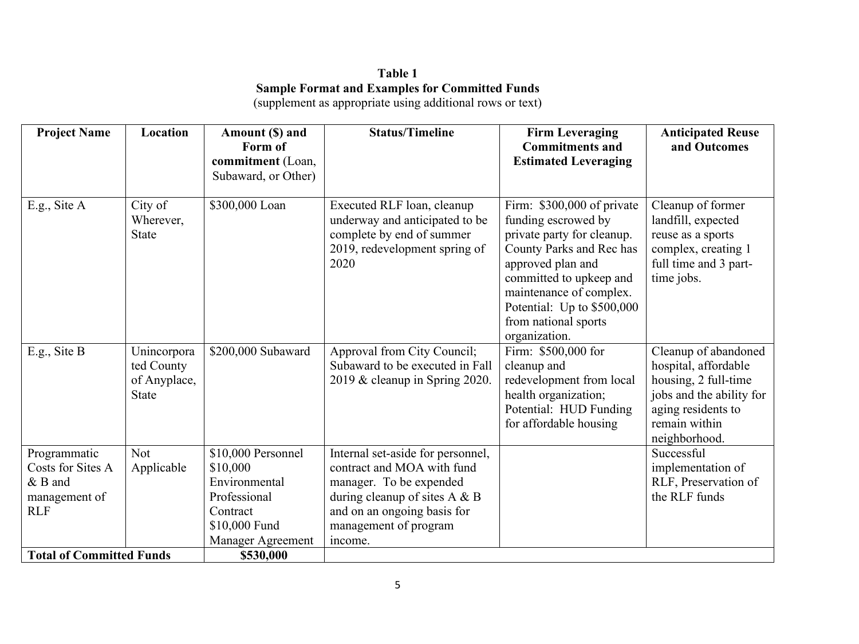# **Table 1 Sample Format and Examples for Committed Funds**

| <b>Project Name</b>                                                           | Location                                                  | Amount (\$) and<br>Form of                                                                                               | <b>Status/Timeline</b>                                                                                                                                                                            | <b>Firm Leveraging</b><br><b>Commitments and</b>                                                                                                                                                                                                              | <b>Anticipated Reuse</b><br>and Outcomes                                                                                                                 |
|-------------------------------------------------------------------------------|-----------------------------------------------------------|--------------------------------------------------------------------------------------------------------------------------|---------------------------------------------------------------------------------------------------------------------------------------------------------------------------------------------------|---------------------------------------------------------------------------------------------------------------------------------------------------------------------------------------------------------------------------------------------------------------|----------------------------------------------------------------------------------------------------------------------------------------------------------|
|                                                                               |                                                           | commitment (Loan,                                                                                                        |                                                                                                                                                                                                   | <b>Estimated Leveraging</b>                                                                                                                                                                                                                                   |                                                                                                                                                          |
|                                                                               |                                                           | Subaward, or Other)                                                                                                      |                                                                                                                                                                                                   |                                                                                                                                                                                                                                                               |                                                                                                                                                          |
| E.g., Site A                                                                  | City of<br>Wherever,<br><b>State</b>                      | \$300,000 Loan                                                                                                           | Executed RLF loan, cleanup<br>underway and anticipated to be<br>complete by end of summer<br>2019, redevelopment spring of<br>2020                                                                | Firm: \$300,000 of private<br>funding escrowed by<br>private party for cleanup.<br>County Parks and Rec has<br>approved plan and<br>committed to upkeep and<br>maintenance of complex.<br>Potential: Up to \$500,000<br>from national sports<br>organization. | Cleanup of former<br>landfill, expected<br>reuse as a sports<br>complex, creating 1<br>full time and 3 part-<br>time jobs.                               |
| E.g., Site B                                                                  | Unincorpora<br>ted County<br>of Anyplace,<br><b>State</b> | \$200,000 Subaward                                                                                                       | Approval from City Council;<br>Subaward to be executed in Fall<br>2019 & cleanup in Spring 2020.                                                                                                  | Firm: \$500,000 for<br>cleanup and<br>redevelopment from local<br>health organization;<br>Potential: HUD Funding<br>for affordable housing                                                                                                                    | Cleanup of abandoned<br>hospital, affordable<br>housing, 2 full-time<br>jobs and the ability for<br>aging residents to<br>remain within<br>neighborhood. |
| Programmatic<br>Costs for Sites A<br>$&$ B and<br>management of<br><b>RLF</b> | <b>Not</b><br>Applicable                                  | \$10,000 Personnel<br>\$10,000<br>Environmental<br>Professional<br>Contract<br>\$10,000 Fund<br><b>Manager Agreement</b> | Internal set-aside for personnel,<br>contract and MOA with fund<br>manager. To be expended<br>during cleanup of sites $A \& B$<br>and on an ongoing basis for<br>management of program<br>income. |                                                                                                                                                                                                                                                               | Successful<br>implementation of<br>RLF, Preservation of<br>the RLF funds                                                                                 |
| <b>Total of Committed Funds</b>                                               |                                                           | \$530,000                                                                                                                |                                                                                                                                                                                                   |                                                                                                                                                                                                                                                               |                                                                                                                                                          |

(supplement as appropriate using additional rows or text)